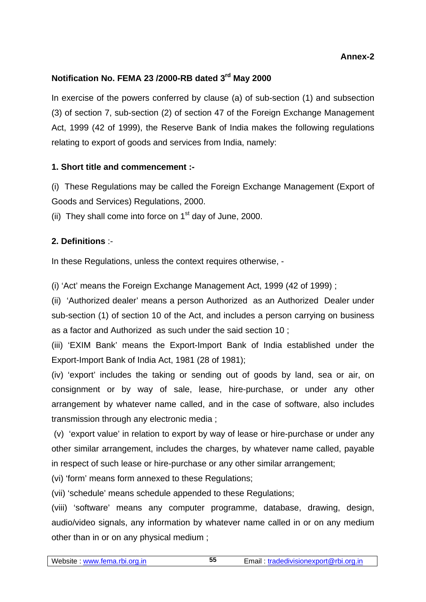# **Annex-2**

# **Notification No. FEMA 23 /2000-RB dated 3rd May 2000**

In exercise of the powers conferred by clause (a) of sub-section (1) and subsection (3) of section 7, sub-section (2) of section 47 of the Foreign Exchange Management Act, 1999 (42 of 1999), the Reserve Bank of India makes the following regulations relating to export of goods and services from India, namely:

# **1. Short title and commencement :-**

(i) These Regulations may be called the Foreign Exchange Management (Export of Goods and Services) Regulations, 2000.

(ii) They shall come into force on  $1<sup>st</sup>$  day of June, 2000.

# **2. Definitions** :-

In these Regulations, unless the context requires otherwise, -

(i) 'Act' means the Foreign Exchange Management Act, 1999 (42 of 1999) ;

(ii) 'Authorized dealer' means a person Authorized as an Authorized Dealer under sub-section (1) of section 10 of the Act, and includes a person carrying on business as a factor and Authorized as such under the said section 10 ;

(iii) 'EXIM Bank' means the Export-Import Bank of India established under the Export-Import Bank of India Act, 1981 (28 of 1981);

(iv) 'export' includes the taking or sending out of goods by land, sea or air, on consignment or by way of sale, lease, hire-purchase, or under any other arrangement by whatever name called, and in the case of software, also includes transmission through any electronic media ;

 (v) 'export value' in relation to export by way of lease or hire-purchase or under any other similar arrangement, includes the charges, by whatever name called, payable in respect of such lease or hire-purchase or any other similar arrangement;

(vi) 'form' means form annexed to these Regulations;

(vii) 'schedule' means schedule appended to these Regulations;

(viii) 'software' means any computer programme, database, drawing, design, audio/video signals, any information by whatever name called in or on any medium other than in or on any physical medium ;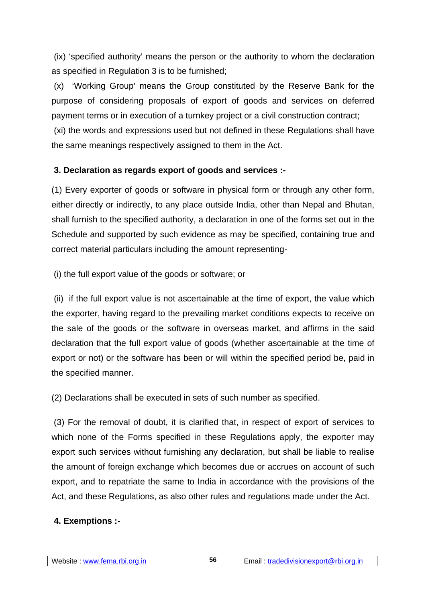(ix) 'specified authority' means the person or the authority to whom the declaration as specified in Regulation 3 is to be furnished;

 (x) 'Working Group' means the Group constituted by the Reserve Bank for the purpose of considering proposals of export of goods and services on deferred payment terms or in execution of a turnkey project or a civil construction contract;

 (xi) the words and expressions used but not defined in these Regulations shall have the same meanings respectively assigned to them in the Act.

# **3. Declaration as regards export of goods and services :-**

(1) Every exporter of goods or software in physical form or through any other form, either directly or indirectly, to any place outside India, other than Nepal and Bhutan, shall furnish to the specified authority, a declaration in one of the forms set out in the Schedule and supported by such evidence as may be specified, containing true and correct material particulars including the amount representing-

(i) the full export value of the goods or software; or

 (ii) if the full export value is not ascertainable at the time of export, the value which the exporter, having regard to the prevailing market conditions expects to receive on the sale of the goods or the software in overseas market, and affirms in the said declaration that the full export value of goods (whether ascertainable at the time of export or not) or the software has been or will within the specified period be, paid in the specified manner.

(2) Declarations shall be executed in sets of such number as specified.

 (3) For the removal of doubt, it is clarified that, in respect of export of services to which none of the Forms specified in these Regulations apply, the exporter may export such services without furnishing any declaration, but shall be liable to realise the amount of foreign exchange which becomes due or accrues on account of such export, and to repatriate the same to India in accordance with the provisions of the Act, and these Regulations, as also other rules and regulations made under the Act.

# **4. Exemptions :-**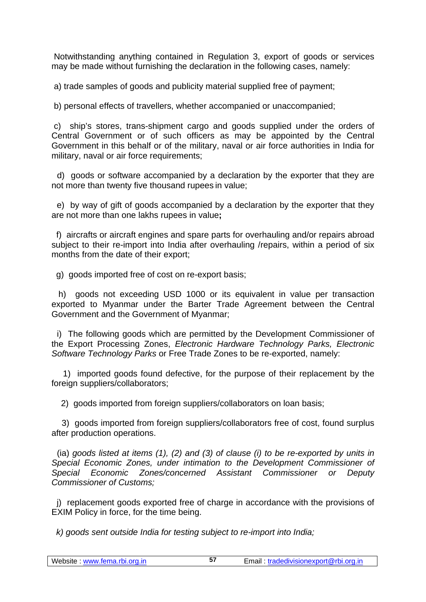Notwithstanding anything contained in Regulation 3, export of goods or services may be made without furnishing the declaration in the following cases, namely:

a) trade samples of goods and publicity material supplied free of payment;

b) personal effects of travellers, whether accompanied or unaccompanied;

 c) ship's stores, trans-shipment cargo and goods supplied under the orders of Central Government or of such officers as may be appointed by the Central Government in this behalf or of the military, naval or air force authorities in India for military, naval or air force requirements;

 d) goods or software accompanied by a declaration by the exporter that they are not more than twenty five thousand rupees in value;

 e) by way of gift of goods accompanied by a declaration by the exporter that they are not more than one lakhs rupees in value**;**

 f) aircrafts or aircraft engines and spare parts for overhauling and/or repairs abroad subject to their re-import into India after overhauling /repairs, within a period of six months from the date of their export;

g) goods imported free of cost on re-export basis;

 h) goods not exceeding USD 1000 or its equivalent in value per transaction exported to Myanmar under the Barter Trade Agreement between the Central Government and the Government of Myanmar;

 i) The following goods which are permitted by the Development Commissioner of the Export Processing Zones, *Electronic Hardware Technology Parks, Electronic Software Technology Parks* or Free Trade Zones to be re-exported, namely:

 1) imported goods found defective, for the purpose of their replacement by the foreign suppliers/collaborators;

2) goods imported from foreign suppliers/collaborators on loan basis;

 3) goods imported from foreign suppliers/collaborators free of cost, found surplus after production operations.

 (ia) *goods listed at items (1), (2) and (3) of clause (i) to be re-exported by units in Special Economic Zones, under intimation to the Development Commissioner of Special Economic Zones/concerned Assistant Commissioner or Deputy Commissioner of Customs;*

 j) replacement goods exported free of charge in accordance with the provisions of EXIM Policy in force, for the time being.

*k) goods sent outside India for testing subject to re-import into India;*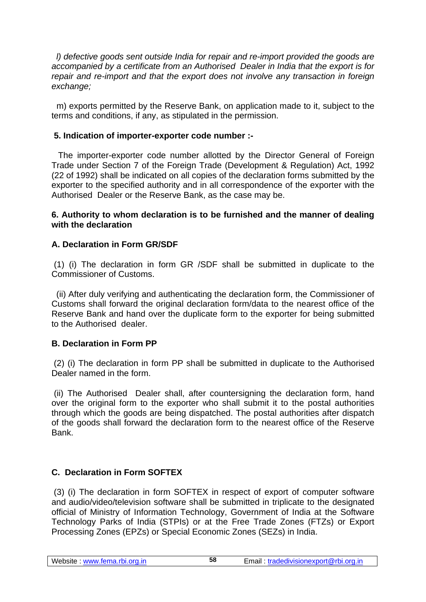*l) defective goods sent outside India for repair and re-import provided the goods are accompanied by a certificate from an Authorised Dealer in India that the export is for repair and re-import and that the export does not involve any transaction in foreign exchange;*

 m) exports permitted by the Reserve Bank, on application made to it, subject to the terms and conditions, if any, as stipulated in the permission.

## **5. Indication of importer-exporter code number :-**

 The importer-exporter code number allotted by the Director General of Foreign Trade under Section 7 of the Foreign Trade (Development & Regulation) Act, 1992 (22 of 1992) shall be indicated on all copies of the declaration forms submitted by the exporter to the specified authority and in all correspondence of the exporter with the Authorised Dealer or the Reserve Bank, as the case may be.

#### **6. Authority to whom declaration is to be furnished and the manner of dealing with the declaration**

# **A. Declaration in Form GR/SDF**

 (1) (i) The declaration in form GR /SDF shall be submitted in duplicate to the Commissioner of Customs.

 (ii) After duly verifying and authenticating the declaration form, the Commissioner of Customs shall forward the original declaration form/data to the nearest office of the Reserve Bank and hand over the duplicate form to the exporter for being submitted to the Authorised dealer.

# **B. Declaration in Form PP**

 (2) (i) The declaration in form PP shall be submitted in duplicate to the Authorised Dealer named in the form.

 (ii) The Authorised Dealer shall, after countersigning the declaration form, hand over the original form to the exporter who shall submit it to the postal authorities through which the goods are being dispatched. The postal authorities after dispatch of the goods shall forward the declaration form to the nearest office of the Reserve Bank.

# **C. Declaration in Form SOFTEX**

 (3) (i) The declaration in form SOFTEX in respect of export of computer software and audio/video/television software shall be submitted in triplicate to the designated official of Ministry of Information Technology, Government of India at the Software Technology Parks of India (STPIs) or at the Free Trade Zones (FTZs) or Export Processing Zones (EPZs) or Special Economic Zones (SEZs) in India.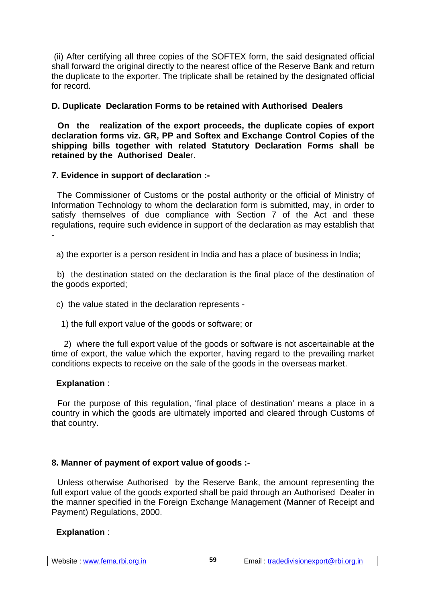(ii) After certifying all three copies of the SOFTEX form, the said designated official shall forward the original directly to the nearest office of the Reserve Bank and return the duplicate to the exporter. The triplicate shall be retained by the designated official for record.

## **D. Duplicate Declaration Forms to be retained with Authorised Dealers**

 **On the realization of the export proceeds, the duplicate copies of export declaration forms viz. GR, PP and Softex and Exchange Control Copies of the shipping bills together with related Statutory Declaration Forms shall be retained by the Authorised Deale**r.

#### **7. Evidence in support of declaration :-**

 The Commissioner of Customs or the postal authority or the official of Ministry of Information Technology to whom the declaration form is submitted, may, in order to satisfy themselves of due compliance with Section 7 of the Act and these regulations, require such evidence in support of the declaration as may establish that -

a) the exporter is a person resident in India and has a place of business in India;

 b) the destination stated on the declaration is the final place of the destination of the goods exported;

c) the value stated in the declaration represents -

1) the full export value of the goods or software; or

 2) where the full export value of the goods or software is not ascertainable at the time of export, the value which the exporter, having regard to the prevailing market conditions expects to receive on the sale of the goods in the overseas market.

#### **Explanation** :

 For the purpose of this regulation, 'final place of destination' means a place in a country in which the goods are ultimately imported and cleared through Customs of that country.

# **8. Manner of payment of export value of goods :-**

 Unless otherwise Authorised by the Reserve Bank, the amount representing the full export value of the goods exported shall be paid through an Authorised Dealer in the manner specified in the Foreign Exchange Management (Manner of Receipt and Payment) Regulations, 2000.

# **Explanation** :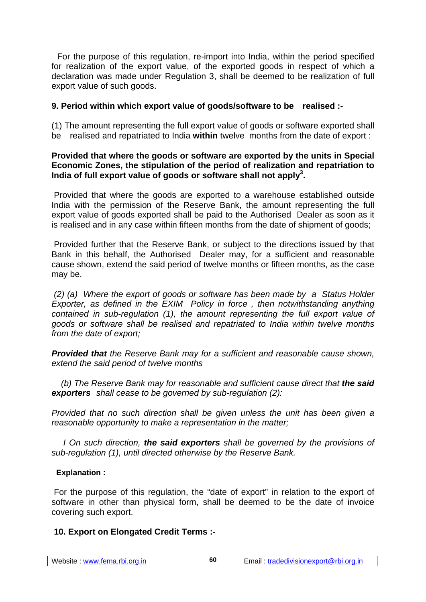For the purpose of this regulation, re-import into India, within the period specified for realization of the export value, of the exported goods in respect of which a declaration was made under Regulation 3, shall be deemed to be realization of full export value of such goods.

#### **9. Period within which export value of goods/software to be realised :-**

(1) The amount representing the full export value of goods or software exported shall be realised and repatriated to India **within** twelve months from the date of export :

#### **Provided that where the goods or software are exported by the units in Special Economic Zones, the stipulation of the period of realization and repatriation to**  India of full export value of goods or software shall not apply<sup>3</sup>.

 Provided that where the goods are exported to a warehouse established outside India with the permission of the Reserve Bank, the amount representing the full export value of goods exported shall be paid to the Authorised Dealer as soon as it is realised and in any case within fifteen months from the date of shipment of goods;

 Provided further that the Reserve Bank, or subject to the directions issued by that Bank in this behalf, the Authorised Dealer may, for a sufficient and reasonable cause shown, extend the said period of twelve months or fifteen months, as the case may be.

*(2) (a) Where the export of goods or software has been made by a Status Holder Exporter, as defined in the EXIM Policy in force , then notwithstanding anything contained in sub-regulation (1), the amount representing the full export value of goods or software shall be realised and repatriated to India within twelve months from the date of export;*

*Provided that the Reserve Bank may for a sufficient and reasonable cause shown, extend the said period of twelve months*

*(b)* The Reserve Bank may for reasonable and sufficient cause direct that **the said** *exporters shall cease to be governed by sub-regulation (2):*

*Provided that no such direction shall be given unless the unit has been given a reasonable opportunity to make a representation in the matter;* 

 *I On such direction, the said exporters shall be governed by the provisions of sub-regulation (1), until directed otherwise by the Reserve Bank.*

#### **Explanation :**

 For the purpose of this regulation, the "date of export" in relation to the export of software in other than physical form, shall be deemed to be the date of invoice covering such export.

#### **10. Export on Elongated Credit Terms :-**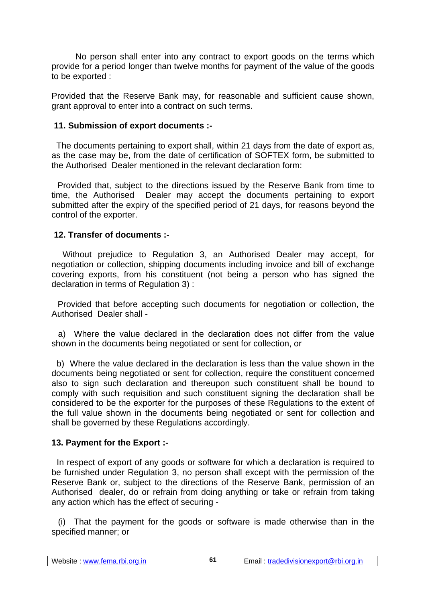No person shall enter into any contract to export goods on the terms which provide for a period longer than twelve months for payment of the value of the goods to be exported :

Provided that the Reserve Bank may, for reasonable and sufficient cause shown, grant approval to enter into a contract on such terms.

#### **11. Submission of export documents :-**

 The documents pertaining to export shall, within 21 days from the date of export as, as the case may be, from the date of certification of SOFTEX form, be submitted to the Authorised Dealer mentioned in the relevant declaration form:

 Provided that, subject to the directions issued by the Reserve Bank from time to time, the Authorised Dealer may accept the documents pertaining to export submitted after the expiry of the specified period of 21 days, for reasons beyond the control of the exporter.

#### **12. Transfer of documents :-**

 Without prejudice to Regulation 3, an Authorised Dealer may accept, for negotiation or collection, shipping documents including invoice and bill of exchange covering exports, from his constituent (not being a person who has signed the declaration in terms of Regulation 3) :

 Provided that before accepting such documents for negotiation or collection, the Authorised Dealer shall -

 a) Where the value declared in the declaration does not differ from the value shown in the documents being negotiated or sent for collection, or

 b) Where the value declared in the declaration is less than the value shown in the documents being negotiated or sent for collection, require the constituent concerned also to sign such declaration and thereupon such constituent shall be bound to comply with such requisition and such constituent signing the declaration shall be considered to be the exporter for the purposes of these Regulations to the extent of the full value shown in the documents being negotiated or sent for collection and shall be governed by these Regulations accordingly.

#### **13. Payment for the Export :-**

 In respect of export of any goods or software for which a declaration is required to be furnished under Regulation 3, no person shall except with the permission of the Reserve Bank or, subject to the directions of the Reserve Bank, permission of an Authorised dealer, do or refrain from doing anything or take or refrain from taking any action which has the effect of securing -

 (i) That the payment for the goods or software is made otherwise than in the specified manner; or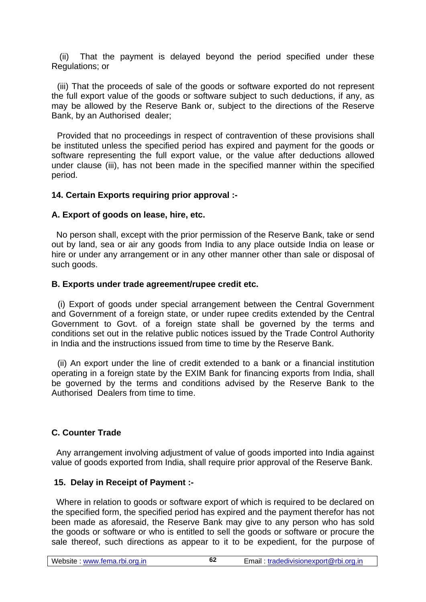(ii) That the payment is delayed beyond the period specified under these Regulations; or

 (iii) That the proceeds of sale of the goods or software exported do not represent the full export value of the goods or software subject to such deductions, if any, as may be allowed by the Reserve Bank or, subject to the directions of the Reserve Bank, by an Authorised dealer;

 Provided that no proceedings in respect of contravention of these provisions shall be instituted unless the specified period has expired and payment for the goods or software representing the full export value, or the value after deductions allowed under clause (iii), has not been made in the specified manner within the specified period.

## **14. Certain Exports requiring prior approval :-**

#### **A. Export of goods on lease, hire, etc.**

 No person shall, except with the prior permission of the Reserve Bank, take or send out by land, sea or air any goods from India to any place outside India on lease or hire or under any arrangement or in any other manner other than sale or disposal of such goods.

## **B. Exports under trade agreement/rupee credit etc.**

 (i) Export of goods under special arrangement between the Central Government and Government of a foreign state, or under rupee credits extended by the Central Government to Govt. of a foreign state shall be governed by the terms and conditions set out in the relative public notices issued by the Trade Control Authority in India and the instructions issued from time to time by the Reserve Bank.

 (ii) An export under the line of credit extended to a bank or a financial institution operating in a foreign state by the EXIM Bank for financing exports from India, shall be governed by the terms and conditions advised by the Reserve Bank to the Authorised Dealers from time to time.

# **C. Counter Trade**

 Any arrangement involving adjustment of value of goods imported into India against value of goods exported from India, shall require prior approval of the Reserve Bank.

# **15. Delay in Receipt of Payment :-**

 Where in relation to goods or software export of which is required to be declared on the specified form, the specified period has expired and the payment therefor has not been made as aforesaid, the Reserve Bank may give to any person who has sold the goods or software or who is entitled to sell the goods or software or procure the sale thereof, such directions as appear to it to be expedient, for the purpose of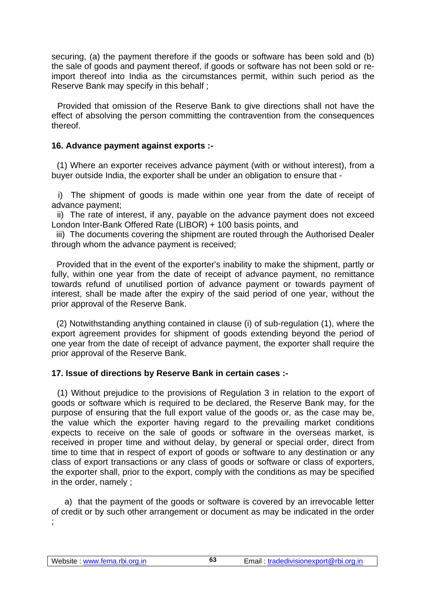securing, (a) the payment therefore if the goods or software has been sold and (b) the sale of goods and payment thereof, if goods or software has not been sold or reimport thereof into India as the circumstances permit, within such period as the Reserve Bank may specify in this behalf ;

 Provided that omission of the Reserve Bank to give directions shall not have the effect of absolving the person committing the contravention from the consequences thereof.

#### **16. Advance payment against exports :-**

 (1) Where an exporter receives advance payment (with or without interest), from a buyer outside India, the exporter shall be under an obligation to ensure that -

 i) The shipment of goods is made within one year from the date of receipt of advance payment;

 ii) The rate of interest, if any, payable on the advance payment does not exceed London Inter-Bank Offered Rate (LIBOR) + 100 basis points, and

 iii) The documents covering the shipment are routed through the Authorised Dealer through whom the advance payment is received;

 Provided that in the event of the exporter's inability to make the shipment, partly or fully, within one year from the date of receipt of advance payment, no remittance towards refund of unutilised portion of advance payment or towards payment of interest, shall be made after the expiry of the said period of one year, without the prior approval of the Reserve Bank.

 (2) Notwithstanding anything contained in clause (i) of sub-regulation (1), where the export agreement provides for shipment of goods extending beyond the period of one year from the date of receipt of advance payment, the exporter shall require the prior approval of the Reserve Bank.

#### **17. Issue of directions by Reserve Bank in certain cases :-**

 (1) Without prejudice to the provisions of Regulation 3 in relation to the export of goods or software which is required to be declared, the Reserve Bank may, for the purpose of ensuring that the full export value of the goods or, as the case may be, the value which the exporter having regard to the prevailing market conditions expects to receive on the sale of goods or software in the overseas market, is received in proper time and without delay, by general or special order, direct from time to time that in respect of export of goods or software to any destination or any class of export transactions or any class of goods or software or class of exporters, the exporter shall, prior to the export, comply with the conditions as may be specified in the order, namely ;

 a) that the payment of the goods or software is covered by an irrevocable letter of credit or by such other arrangement or document as may be indicated in the order ;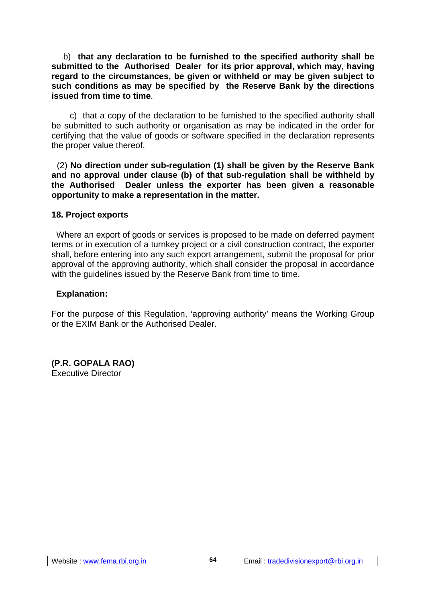b) **that any declaration to be furnished to the specified authority shall be submitted to the Authorised Dealer for its prior approval, which may, having regard to the circumstances, be given or withheld or may be given subject to such conditions as may be specified by the Reserve Bank by the directions issued from time to time**.

 c) that a copy of the declaration to be furnished to the specified authority shall be submitted to such authority or organisation as may be indicated in the order for certifying that the value of goods or software specified in the declaration represents the proper value thereof.

 (2) **No direction under sub-regulation (1) shall be given by the Reserve Bank and no approval under clause (b) of that sub-regulation shall be withheld by the Authorised Dealer unless the exporter has been given a reasonable opportunity to make a representation in the matter.** 

#### **18. Project exports**

 Where an export of goods or services is proposed to be made on deferred payment terms or in execution of a turnkey project or a civil construction contract, the exporter shall, before entering into any such export arrangement, submit the proposal for prior approval of the approving authority, which shall consider the proposal in accordance with the quidelines issued by the Reserve Bank from time to time.

#### **Explanation:**

For the purpose of this Regulation, 'approving authority' means the Working Group or the EXIM Bank or the Authorised Dealer.

**(P.R. GOPALA RAO)** Executive Director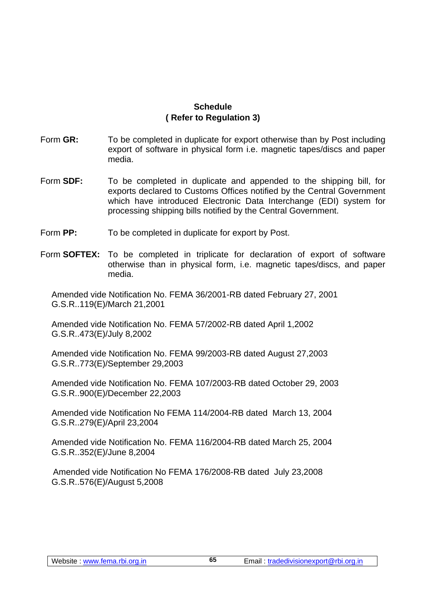# **Schedule ( Refer to Regulation 3)**

- Form **GR:** To be completed in duplicate for export otherwise than by Post including export of software in physical form i.e. magnetic tapes/discs and paper media.
- Form **SDF:** To be completed in duplicate and appended to the shipping bill, for exports declared to Customs Offices notified by the Central Government which have introduced Electronic Data Interchange (EDI) system for processing shipping bills notified by the Central Government.
- Form **PP:** To be completed in duplicate for export by Post.
- Form **SOFTEX:** To be completed in triplicate for declaration of export of software otherwise than in physical form, i.e. magnetic tapes/discs, and paper media.

Amended vide Notification No. FEMA 36/2001-RB dated February 27, 2001 G.S.R..119(E)/March 21,2001

Amended vide Notification No. FEMA 57/2002-RB dated April 1,2002 G.S.R..473(E)/July 8,2002

Amended vide Notification No. FEMA 99/2003-RB dated August 27,2003 G.S.R..773(E)/September 29,2003

Amended vide Notification No. FEMA 107/2003-RB dated October 29, 2003 G.S.R..900(E)/December 22,2003

Amended vide Notification No FEMA 114/2004-RB dated March 13, 2004 G.S.R..279(E)/April 23,2004

Amended vide Notification No. FEMA 116/2004-RB dated March 25, 2004 G.S.R..352(E)/June 8,2004

Amended vide Notification No FEMA 176/2008-RB dated July 23,2008 G.S.R..576(E)/August 5,2008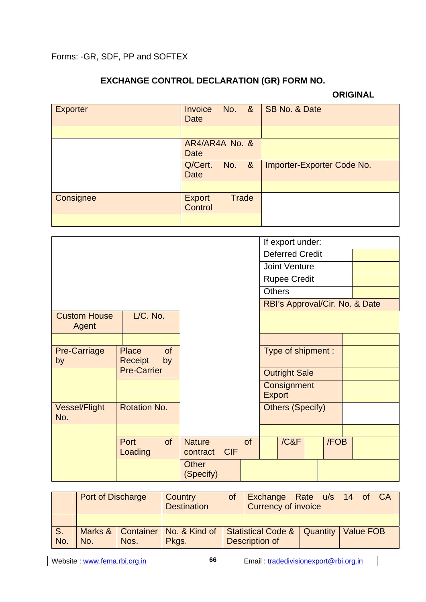# **EXCHANGE CONTROL DECLARATION (GR) FORM NO.**

## **ORIGINAL**

| <b>Exporter</b> | <b>Invoice</b><br><b>Date</b> | No. &        | SB No. & Date              |
|-----------------|-------------------------------|--------------|----------------------------|
|                 |                               |              |                            |
|                 | AR4/AR4A No. &<br><b>Date</b> |              |                            |
|                 | Q/Cert.<br><b>Date</b>        | No. &        | Importer-Exporter Code No. |
|                 |                               |              |                            |
| Consignee       | <b>Export</b><br>Control      | <b>Trade</b> |                            |
|                 |                               |              |                            |

|                              |                                            |                               |           | If export under:               |  |
|------------------------------|--------------------------------------------|-------------------------------|-----------|--------------------------------|--|
|                              |                                            |                               |           | <b>Deferred Credit</b>         |  |
|                              |                                            |                               |           | <b>Joint Venture</b>           |  |
|                              |                                            |                               |           | <b>Rupee Credit</b>            |  |
|                              |                                            |                               |           | <b>Others</b>                  |  |
|                              |                                            |                               |           | RBI's Approval/Cir. No. & Date |  |
| <b>Custom House</b><br>Agent | L/C. No.                                   |                               |           |                                |  |
|                              |                                            |                               |           |                                |  |
| <b>Pre-Carriage</b><br>by    | <b>Place</b><br><b>of</b><br>Receipt<br>by |                               |           | Type of shipment:              |  |
|                              | <b>Pre-Carrier</b>                         |                               |           | <b>Outright Sale</b>           |  |
|                              |                                            |                               |           | Consignment<br><b>Export</b>   |  |
| <b>Vessel/Flight</b><br>No.  | <b>Rotation No.</b>                        |                               |           | <b>Others (Specify)</b>        |  |
|                              |                                            |                               |           |                                |  |
|                              | Port<br>of<br>Loading                      | <b>Nature</b><br>contract CIF | <b>of</b> | / C&F<br>/FOB                  |  |
|                              |                                            | <b>Other</b><br>(Specify)     |           |                                |  |

|     | <b>Port of Discharge</b> |                     | Country<br><b>Destination</b> | Exchange Rate u/s 14 of CA<br><b>Currency of invoice</b> |                                           |  |  |  |  |
|-----|--------------------------|---------------------|-------------------------------|----------------------------------------------------------|-------------------------------------------|--|--|--|--|
| S.  |                          | Marks &   Container | No. & Kind of                 |                                                          | Statistical Code &   Quantity   Value FOB |  |  |  |  |
| No. | No.                      | Nos.                | Pkgs.                         |                                                          | Description of                            |  |  |  |  |

**66**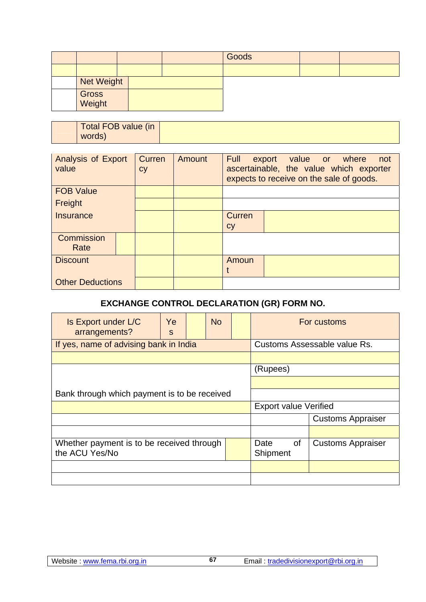|                   |  | Goods |  |
|-------------------|--|-------|--|
|                   |  |       |  |
| <b>Net Weight</b> |  |       |  |
| Gross<br>Weight   |  |       |  |

| Total FOB value (in |
|---------------------|
| words)              |

| <b>Analysis of Export</b><br>value | Curren<br><b>Cy</b> | Amount | Full<br>export value or where<br>not<br>ascertainable, the value which exporter<br>expects to receive on the sale of goods. |
|------------------------------------|---------------------|--------|-----------------------------------------------------------------------------------------------------------------------------|
| <b>FOB Value</b>                   |                     |        |                                                                                                                             |
| Freight                            |                     |        |                                                                                                                             |
| Insurance                          |                     |        | Curren                                                                                                                      |
|                                    |                     |        | cy                                                                                                                          |
| Commission                         |                     |        |                                                                                                                             |
| Rate                               |                     |        |                                                                                                                             |
| <b>Discount</b>                    |                     |        | Amoun                                                                                                                       |
|                                    |                     |        |                                                                                                                             |
| <b>Other Deductions</b>            |                     |        |                                                                                                                             |

# **EXCHANGE CONTROL DECLARATION (GR) FORM NO.**

| Is Export under L/C<br>arrangements?                        | Ye<br>S | <b>No</b> |                  |                              | For customs                  |  |
|-------------------------------------------------------------|---------|-----------|------------------|------------------------------|------------------------------|--|
| If yes, name of advising bank in India                      |         |           |                  |                              | Customs Assessable value Rs. |  |
|                                                             |         |           |                  |                              |                              |  |
|                                                             |         |           | (Rupees)         |                              |                              |  |
|                                                             |         |           |                  |                              |                              |  |
| Bank through which payment is to be received                |         |           |                  |                              |                              |  |
|                                                             |         |           |                  | <b>Export value Verified</b> |                              |  |
|                                                             |         |           |                  |                              | <b>Customs Appraiser</b>     |  |
|                                                             |         |           |                  |                              |                              |  |
| Whether payment is to be received through<br>the ACU Yes/No |         |           | Date<br>Shipment | 0f                           | <b>Customs Appraiser</b>     |  |
|                                                             |         |           |                  |                              |                              |  |
|                                                             |         |           |                  |                              |                              |  |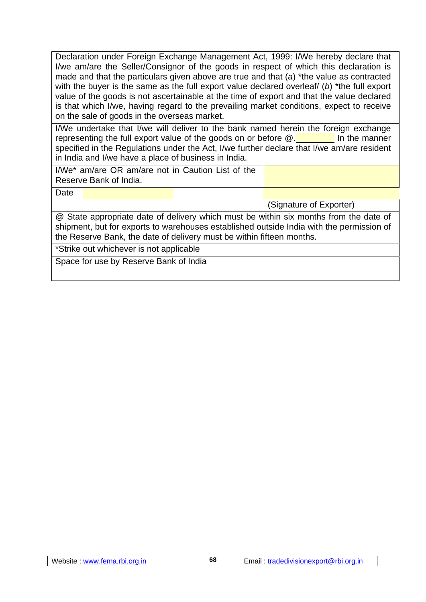Declaration under Foreign Exchange Management Act, 1999: I/We hereby declare that I/we am/are the Seller/Consignor of the goods in respect of which this declaration is made and that the particulars given above are true and that (*a*) \*the value as contracted with the buyer is the same as the full export value declared overleaf/ (*b*) \*the full export value of the goods is not ascertainable at the time of export and that the value declared is that which I/we, having regard to the prevailing market conditions, expect to receive on the sale of goods in the overseas market.

I/We undertake that I/we will deliver to the bank named herein the foreign exchange representing the full export value of the goods on or before  $@.$  In the manner specified in the Regulations under the Act, I/we further declare that I/we am/are resident in India and I/we have a place of business in India.

I/We\* am/are OR am/are not in Caution List of the Reserve Bank of India.

Date

(Signature of Exporter)

@ State appropriate date of delivery which must be within six months from the date of shipment, but for exports to warehouses established outside India with the permission of the Reserve Bank, the date of delivery must be within fifteen months.

\*Strike out whichever is not applicable

Space for use by Reserve Bank of India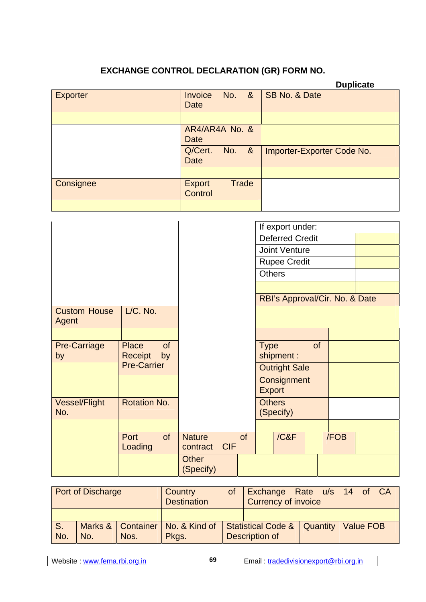# **EXCHANGE CONTROL DECLARATION (GR) FORM NO.**

|                 |                          |              |                            | <b>Duplicate</b> |
|-----------------|--------------------------|--------------|----------------------------|------------------|
| <b>Exporter</b> | Invoice<br><b>Date</b>   | No. &        | SB No. & Date              |                  |
|                 |                          |              |                            |                  |
|                 | AR4/AR4A No. &<br>Date   |              |                            |                  |
|                 | Q/Cert.<br><b>Date</b>   | No. &        | Importer-Exporter Code No. |                  |
|                 |                          |              |                            |                  |
| Consignee       | <b>Export</b><br>Control | <b>Trade</b> |                            |                  |
|                 |                          |              |                            |                  |

|                              |                                            |                                         |    | If export under:               |      |  |
|------------------------------|--------------------------------------------|-----------------------------------------|----|--------------------------------|------|--|
|                              |                                            |                                         |    | <b>Deferred Credit</b>         |      |  |
|                              |                                            |                                         |    | <b>Joint Venture</b>           |      |  |
|                              |                                            |                                         |    | <b>Rupee Credit</b>            |      |  |
|                              |                                            |                                         |    | <b>Others</b>                  |      |  |
|                              |                                            |                                         |    |                                |      |  |
|                              |                                            |                                         |    | RBI's Approval/Cir. No. & Date |      |  |
| <b>Custom House</b><br>Agent | L/C. No.                                   |                                         |    |                                |      |  |
|                              |                                            |                                         |    |                                |      |  |
| <b>Pre-Carriage</b><br>by    | <b>Place</b><br><b>of</b><br>Receipt<br>by |                                         |    | of<br><b>Type</b><br>shipment: |      |  |
|                              | <b>Pre-Carrier</b>                         |                                         |    | <b>Outright Sale</b>           |      |  |
|                              |                                            |                                         |    | Consignment<br><b>Export</b>   |      |  |
| <b>Vessel/Flight</b><br>No.  | <b>Rotation No.</b>                        |                                         |    | <b>Others</b><br>(Specify)     |      |  |
|                              |                                            |                                         |    |                                |      |  |
|                              | of<br>Port<br>Loading                      | <b>Nature</b><br><b>CIF</b><br>contract | of | / C&F                          | /FOB |  |
|                              |                                            | <b>Other</b><br>(Specify)               |    |                                |      |  |

| Port of Discharge |     | Country<br><b>Destination</b> | Exchange Rate u/s 14 of CA<br><b>Currency of invoice</b> |  |                                                             |  |  |  |  |  |
|-------------------|-----|-------------------------------|----------------------------------------------------------|--|-------------------------------------------------------------|--|--|--|--|--|
|                   |     |                               |                                                          |  |                                                             |  |  |  |  |  |
| S.<br>No.         | No. | Nos.                          | Marks & Container   No. & Kind of<br>Pkgs.               |  | Statistical Code &   Quantity   Value FOB<br>Description of |  |  |  |  |  |

**69**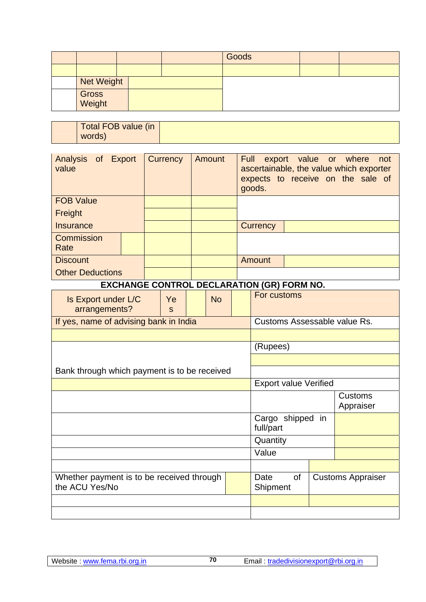|                   |  | Goods |  |
|-------------------|--|-------|--|
|                   |  |       |  |
| <b>Net Weight</b> |  |       |  |
| Gross<br>Weight   |  |       |  |

| Total FOB value (in |  |
|---------------------|--|
|                     |  |
|                     |  |
| words)              |  |
|                     |  |
|                     |  |

| Analysis of Export<br>value | Currency | Amount | <b>Full</b><br>export value or where<br>not<br>ascertainable, the value which exporter<br>expects to receive on the sale of<br>goods. |
|-----------------------------|----------|--------|---------------------------------------------------------------------------------------------------------------------------------------|
| <b>FOB Value</b>            |          |        |                                                                                                                                       |
| Freight                     |          |        |                                                                                                                                       |
| Insurance                   |          |        | <b>Currency</b>                                                                                                                       |
| Commission<br>Rate          |          |        |                                                                                                                                       |
| <b>Discount</b>             |          |        | Amount                                                                                                                                |
| <b>Other Deductions</b>     |          |        |                                                                                                                                       |

# **EXCHANGE CONTROL DECLARATION (GR) FORM NO.**

| Is Export under L/C<br>arrangements?                        | Ye<br>$\mathbf{s}$ |  | <b>No</b>                                          |  | For customs                  |                               |  |                              |
|-------------------------------------------------------------|--------------------|--|----------------------------------------------------|--|------------------------------|-------------------------------|--|------------------------------|
| If yes, name of advising bank in India                      |                    |  |                                                    |  |                              |                               |  | Customs Assessable value Rs. |
|                                                             |                    |  |                                                    |  |                              |                               |  |                              |
|                                                             |                    |  |                                                    |  | (Rupees)                     |                               |  |                              |
|                                                             |                    |  |                                                    |  |                              |                               |  |                              |
| Bank through which payment is to be received                |                    |  |                                                    |  |                              |                               |  |                              |
|                                                             |                    |  |                                                    |  | <b>Export value Verified</b> |                               |  |                              |
|                                                             |                    |  |                                                    |  |                              |                               |  | <b>Customs</b>               |
|                                                             |                    |  |                                                    |  |                              |                               |  | Appraiser                    |
|                                                             |                    |  |                                                    |  |                              | Cargo shipped in<br>full/part |  |                              |
|                                                             |                    |  |                                                    |  | Quantity                     |                               |  |                              |
|                                                             |                    |  |                                                    |  | Value                        |                               |  |                              |
|                                                             |                    |  |                                                    |  |                              |                               |  |                              |
| Whether payment is to be received through<br>the ACU Yes/No |                    |  | Date<br>0f<br><b>Customs Appraiser</b><br>Shipment |  |                              |                               |  |                              |
|                                                             |                    |  |                                                    |  |                              |                               |  |                              |
|                                                             |                    |  |                                                    |  |                              |                               |  |                              |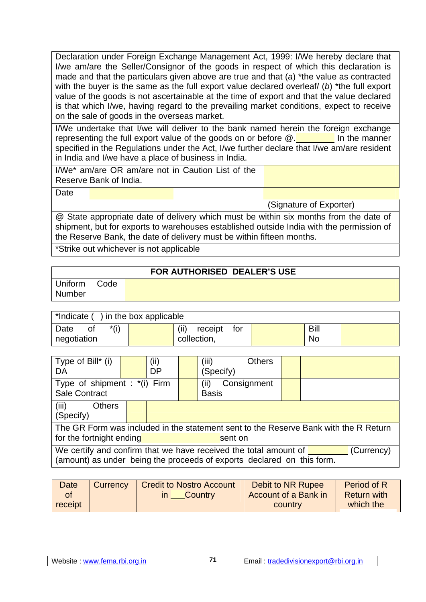Declaration under Foreign Exchange Management Act, 1999: I/We hereby declare that I/we am/are the Seller/Consignor of the goods in respect of which this declaration is made and that the particulars given above are true and that (*a*) \*the value as contracted with the buyer is the same as the full export value declared overleaf/ (*b*) \*the full export value of the goods is not ascertainable at the time of export and that the value declared is that which I/we, having regard to the prevailing market conditions, expect to receive on the sale of goods in the overseas market.

I/We undertake that I/we will deliver to the bank named herein the foreign exchange representing the full export value of the goods on or before  $@.$  In the manner specified in the Regulations under the Act, I/we further declare that I/we am/are resident in India and I/we have a place of business in India.

I/We\* am/are OR am/are not in Caution List of the Reserve Bank of India.

Date

(Signature of Exporter)

@ State appropriate date of delivery which must be within six months from the date of shipment, but for exports to warehouses established outside India with the permission of the Reserve Bank, the date of delivery must be within fifteen months.

\*Strike out whichever is not applicable

# **FOR AUTHORISED DEALER'S USE**

Uniform Code Number

| $*$ Indicate () in the box applicable |  |                         |             |  |  |  |  |
|---------------------------------------|--|-------------------------|-------------|--|--|--|--|
| $*(i)$<br>Date                        |  | (iii)<br>for<br>receipt | <b>Bill</b> |  |  |  |  |
| negotiation                           |  | collection,             | No          |  |  |  |  |

| Type of Bill* (i)<br>DA                                                                                                                                                 |  | (i)<br><b>DP</b> |                                     | <b>Others</b><br>(iii)<br>(Specify) |  |  |  |  |
|-------------------------------------------------------------------------------------------------------------------------------------------------------------------------|--|------------------|-------------------------------------|-------------------------------------|--|--|--|--|
| Type of shipment : *(i) Firm<br><b>Sale Contract</b>                                                                                                                    |  |                  | Consignment<br>(ii)<br><b>Basis</b> |                                     |  |  |  |  |
| (iii)<br><b>Others</b><br>(Specify)                                                                                                                                     |  |                  |                                     |                                     |  |  |  |  |
| The GR Form was included in the statement sent to the Reserve Bank with the R Return<br>for the fortnight ending<br>sent on                                             |  |                  |                                     |                                     |  |  |  |  |
| We certify and confirm that we have received the total amount of $\blacksquare$<br>(Currency)<br>(amount) as under being the proceeds of exports declared on this form. |  |                  |                                     |                                     |  |  |  |  |

| <b>Date</b> | Currency | <b>Credit to Nostro Account</b> |         | Debit to NR Rupee    | Period of R        |
|-------------|----------|---------------------------------|---------|----------------------|--------------------|
|             |          |                                 | Country | Account of a Bank in | <b>Return with</b> |
| receipt     |          |                                 |         | country              | which the          |

**71**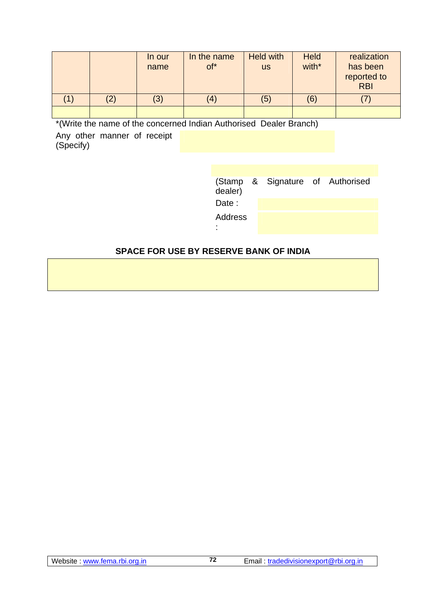|                   | In our<br>name | In the name<br>of* | <b>Held with</b><br><b>US</b> | <b>Held</b><br>with* | realization<br>has been<br>reported to<br><b>RBI</b> |
|-------------------|----------------|--------------------|-------------------------------|----------------------|------------------------------------------------------|
| $\left( 2\right)$ | (3)            | $\left( 4\right)$  | (5)                           | (6)                  |                                                      |
|                   |                |                    |                               |                      |                                                      |

\*(Write the name of the concerned Indian Authorised Dealer Branch)

Any other manner of receipt (Specify)

| dealer) | (Stamp & Signature of Authorised |  |
|---------|----------------------------------|--|
| Date:   |                                  |  |
| Address |                                  |  |

# **SPACE FOR USE BY RESERVE BANK OF INDIA**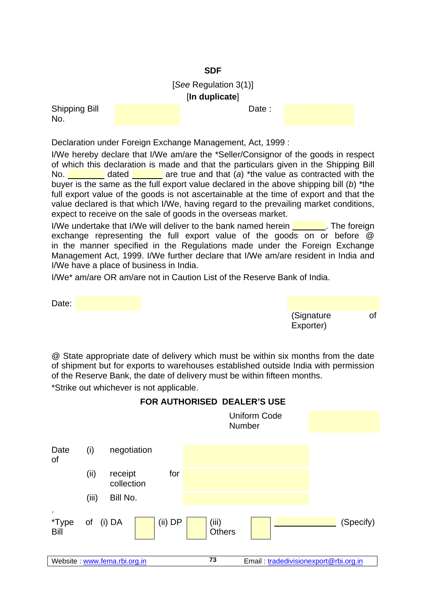## **SDF**

[*See* Regulation 3(1)] [**In duplicate**]

Date :

Shipping Bill No.

Declaration under Foreign Exchange Management, Act, 1999 :

I/We hereby declare that I/We am/are the \*Seller/Consignor of the goods in respect of which this declaration is made and that the particulars given in the Shipping Bill No. dated are true and that (*a*) \*the value as contracted with the buyer is the same as the full export value declared in the above shipping bill (*b*) \*the full export value of the goods is not ascertainable at the time of export and that the value declared is that which I/We, having regard to the prevailing market conditions, expect to receive on the sale of goods in the overseas market.

I/We undertake that I/We will deliver to the bank named herein **The foreign** exchange representing the full export value of the goods on or before @ in the manner specified in the Regulations made under the Foreign Exchange Management Act, 1999. I/We further declare that I/We am/are resident in India and I/We have a place of business in India.

I/We\* am/are OR am/are not in Caution List of the Reserve Bank of India.

Date: (Signature of Exporter)

@ State appropriate date of delivery which must be within six months from the date of shipment but for exports to warehouses established outside India with permission of the Reserve Bank, the date of delivery must be within fifteen months.

\*Strike out whichever is not applicable.



# **FOR AUTHORISED DEALER'S USE**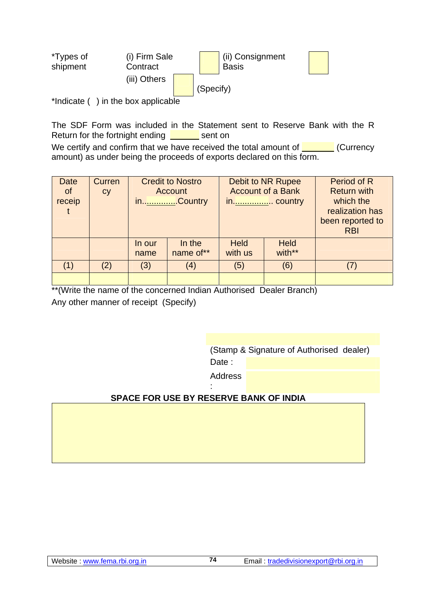| *Types of<br>shipment | (i) Firm Sale<br>Contract |           | (ii) Consignment<br><b>Basis</b> |  |
|-----------------------|---------------------------|-----------|----------------------------------|--|
|                       | (iii) Others              |           |                                  |  |
|                       |                           | (Specify) |                                  |  |
|                       |                           |           |                                  |  |

\*Indicate () in the box applicable

The SDF Form was included in the Statement sent to Reserve Bank with the R Return for the fortnight ending  $\frac{1}{\sqrt{1-\frac{1}{\sqrt{1-\frac{1}{\sqrt{1-\frac{1}{\sqrt{1-\frac{1}{\sqrt{1-\frac{1}{\sqrt{1-\frac{1}{\sqrt{1-\frac{1}{\sqrt{1-\frac{1}{\sqrt{1-\frac{1}{\sqrt{1-\frac{1}{\sqrt{1-\frac{1}{\sqrt{1-\frac{1}{\sqrt{1-\frac{1}{\sqrt{1-\frac{1}{\sqrt{1-\frac{1}{\sqrt{1-\frac{1}{\sqrt{1-\frac{1}{\sqrt{1-\frac{1}{\sqrt{1-\frac{1}{\sqrt{1-\frac{1}{\sqrt{$ 

We certify and confirm that we have received the total amount of  $\blacksquare$  (Currency amount) as under being the proceeds of exports declared on this form.

| <b>Date</b><br><b>of</b><br>receip | Curren<br>cy |                | <b>Credit to Nostro</b><br><b>Account</b><br>in <u></u> . Country | Debit to NR Rupee<br><b>Account of a Bank</b><br>in country |                       | Period of R<br><b>Return with</b><br>which the<br>realization has<br>been reported to<br><b>RBI</b> |
|------------------------------------|--------------|----------------|-------------------------------------------------------------------|-------------------------------------------------------------|-----------------------|-----------------------------------------------------------------------------------------------------|
|                                    |              | In our<br>name | In the<br>name of**                                               | <b>Held</b><br>with us                                      | <b>Held</b><br>with** |                                                                                                     |
| (1)                                | (2)          | (3)            | $\left( 4\right)$                                                 | (5)                                                         | (6)                   |                                                                                                     |
|                                    |              |                |                                                                   |                                                             |                       |                                                                                                     |

\*\*(Write the name of the concerned Indian Authorised Dealer Branch) Any other manner of receipt (Specify)

> (Stamp & Signature of Authorised dealer) Date:

 Address :

# **SPACE FOR USE BY RESERVE BANK OF INDIA**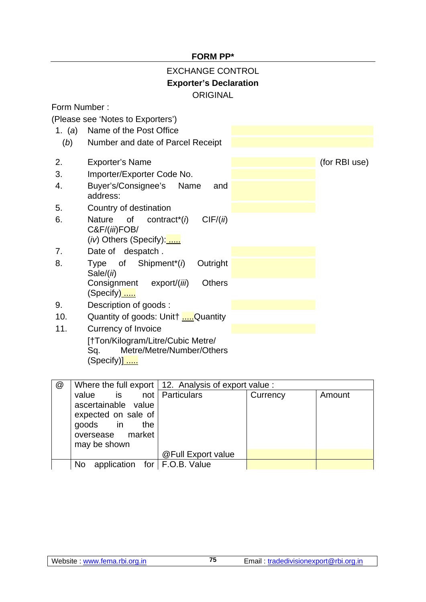## **FORM PP\***

# EXCHANGE CONTROL **Exporter's Declaration ORIGINAL**

Form Number :

(Please see 'Notes to Exporters')

1. (*a*) Name of the Post Office (*b*) Number and date of Parcel Receipt 2. Exporter's Name (for RBI use) 3. Importer/Exporter Code No. 4. Buyer's/Consignee's Name and address: 5. Country of destination 6. Nature of contract\*(*i*) CIF/(*ii*) C&F/(*iii*)FOB/ (*iv*) Others (Specify): ..... 7. Date of despatch . 8. Type of Shipment\*(*i*) Outright Sale/(*ii*) Consignment export/(*iii*) Others (Specify) ..... 9. Description of goods : 10. Quantity of goods: Unit† .....Quantity 11. Currency of Invoice [†Ton/Kilogram/Litre/Cubic Metre/

Sq. Metre/Metre/Number/Others (Specify)] .....

| @ |                                       | Where the full export   12. Analysis of export value : |          |        |
|---|---------------------------------------|--------------------------------------------------------|----------|--------|
|   | value is not Particulars              |                                                        | Currency | Amount |
|   | ascertainable value                   |                                                        |          |        |
|   | expected on sale of                   |                                                        |          |        |
|   | goods in the                          |                                                        |          |        |
|   | oversease market                      |                                                        |          |        |
|   | may be shown                          |                                                        |          |        |
|   |                                       | @Full Export value                                     |          |        |
|   | application for   F.O.B. Value<br>No. |                                                        |          |        |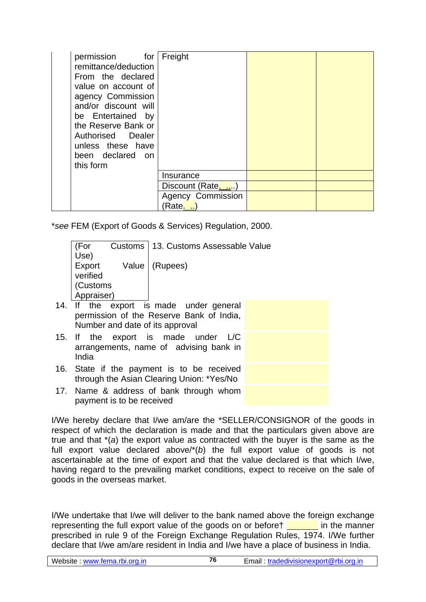| permission for<br>remittance/deduction<br>From the declared<br>value on account of<br>agency Commission<br>and/or discount will<br>be Entertained by<br>the Reserve Bank or<br>Authorised Dealer<br>unless these have<br>been declared on<br>this form | Freight                     |  |
|--------------------------------------------------------------------------------------------------------------------------------------------------------------------------------------------------------------------------------------------------------|-----------------------------|--|
|                                                                                                                                                                                                                                                        | Insurance                   |  |
|                                                                                                                                                                                                                                                        | Discount (Rate)             |  |
|                                                                                                                                                                                                                                                        | Agency Commission<br>(Rate. |  |

\**see* FEM (Export of Goods & Services) Regulation, 2000.

| (For       |              | Customs   13. Customs Assessable Value     |  |
|------------|--------------|--------------------------------------------|--|
| Use)       |              |                                            |  |
|            | Export Value | (Rupees)                                   |  |
| verified   |              |                                            |  |
| (Customs   |              |                                            |  |
| Appraiser) |              |                                            |  |
|            |              | 14. If the export is made under general    |  |
|            |              | permission of the Reserve Bank of India,   |  |
|            |              | Number and date of its approval            |  |
|            |              | 15. If the export is made under L/C        |  |
|            |              | arrangements, name of advising bank in     |  |
| India      |              |                                            |  |
|            |              | 16. State if the payment is to be received |  |
|            |              | through the Asian Clearing Union: *Yes/No  |  |
|            |              | 17 Nome & address of bank through whom     |  |

17. Name & address of bank through whom payment is to be received

I/We hereby declare that I/we am/are the \*SELLER/CONSIGNOR of the goods in respect of which the declaration is made and that the particulars given above are true and that \*(*a*) the export value as contracted with the buyer is the same as the full export value declared above/\*(*b*) the full export value of goods is not ascertainable at the time of export and that the value declared is that which I/we, having regard to the prevailing market conditions, expect to receive on the sale of goods in the overseas market.

I/We undertake that I/we will deliver to the bank named above the foreign exchange representing the full export value of the goods on or before in the manner prescribed in rule 9 of the Foreign Exchange Regulation Rules, 1974. I/We further declare that I/we am/are resident in India and I/we have a place of business in India.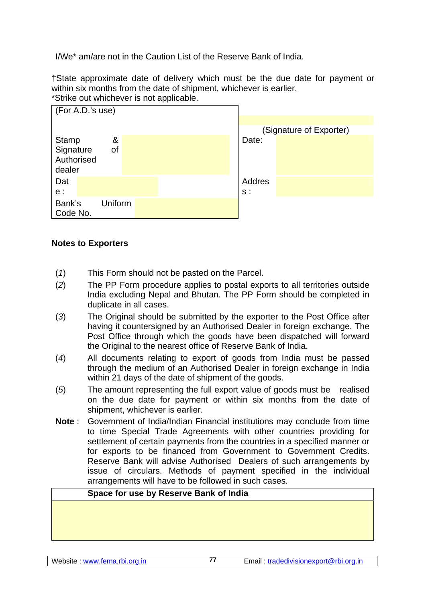I/We\* am/are not in the Caution List of the Reserve Bank of India.

†State approximate date of delivery which must be the due date for payment or within six months from the date of shipment, whichever is earlier. \*Strike out whichever is not applicable.



# **Notes to Exporters**

- (*1*) This Form should not be pasted on the Parcel.
- (*2*) The PP Form procedure applies to postal exports to all territories outside India excluding Nepal and Bhutan. The PP Form should be completed in duplicate in all cases.
- (*3*) The Original should be submitted by the exporter to the Post Office after having it countersigned by an Authorised Dealer in foreign exchange. The Post Office through which the goods have been dispatched will forward the Original to the nearest office of Reserve Bank of India.
- (*4*) All documents relating to export of goods from India must be passed through the medium of an Authorised Dealer in foreign exchange in India within 21 days of the date of shipment of the goods.
- (*5*) The amount representing the full export value of goods must be realised on the due date for payment or within six months from the date of shipment, whichever is earlier.
- **Note** : Government of India/Indian Financial institutions may conclude from time to time Special Trade Agreements with other countries providing for settlement of certain payments from the countries in a specified manner or for exports to be financed from Government to Government Credits. Reserve Bank will advise Authorised Dealers of such arrangements by issue of circulars. Methods of payment specified in the individual arrangements will have to be followed in such cases.

#### **Space for use by Reserve Bank of India**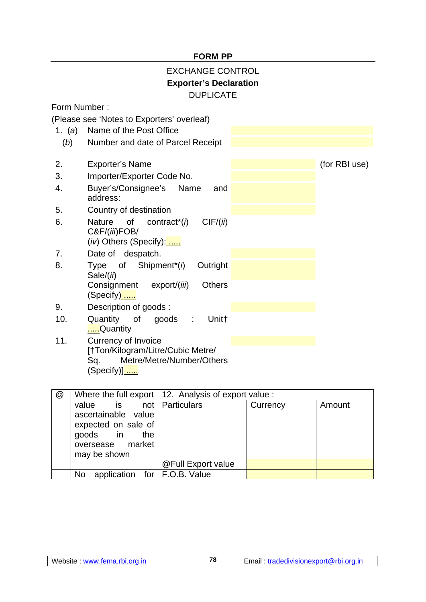## **FORM PP**

# EXCHANGE CONTROL **Exporter's Declaration**  DUPLICATE

Form Number :

(Please see 'Notes to Exporters' overleaf)

1. (*a*) Name of the Post Office (*b*) Number and date of Parcel Receipt 2. Exporter's Name (for RBI use) 3. Importer/Exporter Code No. 4. Buyer's/Consignee's Name and address: 5. Country of destination 6. Nature of contract\*(*i*) CIF/(*ii*) C&F/(*iii*)FOB/ (*iv*) Others (Specify): ..... 7. Date of despatch. 8. Type of Shipment\*(*i*) Outright Sale/(*ii*) Consignment export/(*iii*) Others (Specify)..... 9. Description of goods : 10. Quantity of goods : Unit† .....Quantity 11. Currency of Invoice [†Ton/Kilogram/Litre/Cubic Metre/ Sq. Metre/Metre/Number/Others

 $(Specify)$ ] .....

| @ |                                                                                                                               | Where the full export   12. Analysis of export value : |          |        |
|---|-------------------------------------------------------------------------------------------------------------------------------|--------------------------------------------------------|----------|--------|
|   | value is not Particulars<br>ascertainable value<br>expected on sale of<br>goods in<br>the<br>oversease market<br>may be shown |                                                        | Currency | Amount |
|   |                                                                                                                               |                                                        |          |        |
|   |                                                                                                                               | @Full Export value                                     |          |        |
|   | application for $F.O.B.$ Value<br>N <sub>o</sub>                                                                              |                                                        |          |        |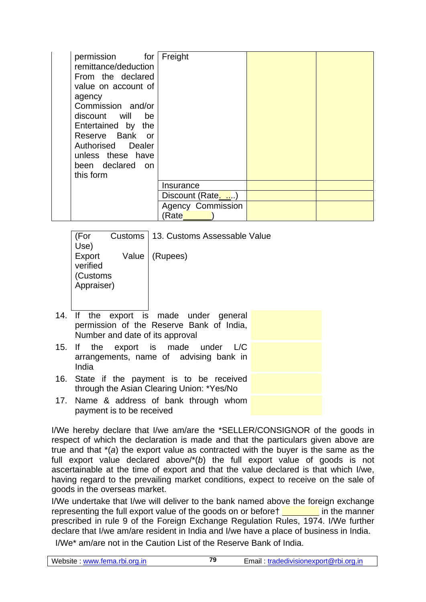| permission for<br>remittance/deduction<br>From the declared<br>value on account of<br>agency<br>Commission and/or<br>discount will be<br>Entertained by the<br>Reserve Bank or<br>Authorised Dealer<br>unless these have<br>been declared on<br>this form | Freight                  |  |
|-----------------------------------------------------------------------------------------------------------------------------------------------------------------------------------------------------------------------------------------------------------|--------------------------|--|
|                                                                                                                                                                                                                                                           | Insurance                |  |
|                                                                                                                                                                                                                                                           | Discount (Rate           |  |
|                                                                                                                                                                                                                                                           | <b>Agency Commission</b> |  |
|                                                                                                                                                                                                                                                           | (Rate                    |  |

| (For<br>Use)                                 | Customs | 13. Customs Assessable Value                    |
|----------------------------------------------|---------|-------------------------------------------------|
| Export<br>verified<br>Customs)<br>Appraiser) | Value   | (Rupees)                                        |
| <br>$\cdot$ .                                |         | the contract of the contract of the contract of |

- 14. If the export is made under general permission of the Reserve Bank of India, Number and date of its approval
- 15. If the export is made under L/C arrangements, name of advising bank in India
- 16. State if the payment is to be received through the Asian Clearing Union: \*Yes/No
- 17. Name & address of bank through whom payment is to be received

I/We hereby declare that I/we am/are the \*SELLER/CONSIGNOR of the goods in respect of which the declaration is made and that the particulars given above are true and that \*(*a*) the export value as contracted with the buyer is the same as the full export value declared above/\*(*b*) the full export value of goods is not ascertainable at the time of export and that the value declared is that which I/we, having regard to the prevailing market conditions, expect to receive on the sale of goods in the overseas market.

I/We undertake that I/we will deliver to the bank named above the foreign exchange representing the full export value of the goods on or before  $\frac{1}{\sqrt{1-\frac{1}{\sqrt{1-\frac{1}{\sqrt{1-\frac{1}{\sqrt{1-\frac{1}{\sqrt{1-\frac{1}{\sqrt{1-\frac{1}{\sqrt{1-\frac{1}{\sqrt{1-\frac{1}{\sqrt{1-\frac{1}{\sqrt{1-\frac{1}{\sqrt{1-\frac{1}{\sqrt{1-\frac{1}{\sqrt{1-\frac{1}{\sqrt{1-\frac{1}{\sqrt{1-\frac{1}{\sqrt{1-\frac{1}{\sqrt{1-\frac{1}{\$ prescribed in rule 9 of the Foreign Exchange Regulation Rules, 1974. I/We further declare that I/we am/are resident in India and I/we have a place of business in India.

I/We\* am/are not in the Caution List of the Reserve Bank of India.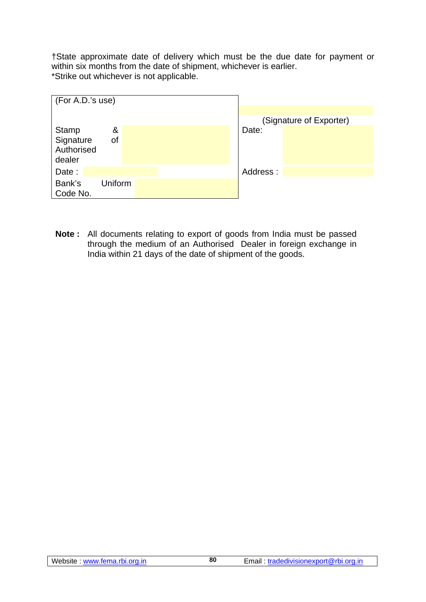†State approximate date of delivery which must be the due date for payment or within six months from the date of shipment, whichever is earlier. \*Strike out whichever is not applicable.

| (For A.D.'s use)                                      | (Signature of Exporter) |
|-------------------------------------------------------|-------------------------|
| Stamp<br>&<br>Signature<br>of<br>Authorised<br>dealer | Date:                   |
| Date:<br>Bank's<br>Uniform<br>Code No.                | Address:                |

**Note :** All documents relating to export of goods from India must be passed through the medium of an Authorised Dealer in foreign exchange in India within 21 days of the date of shipment of the goods.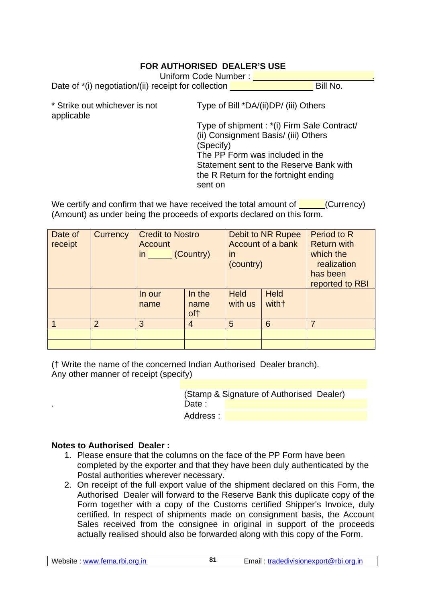## **FOR AUTHORISED DEALER'S USE**

Date of  $*(i)$  negotiation/(ii) receipt for collection Bill No.

| * Strike out whichever is not |  |
|-------------------------------|--|
| applicable                    |  |

Type of Bill \*DA/(ii)DP/ (iii) Others

Type of shipment : \*(i) Firm Sale Contract/ (ii) Consignment Basis/ (iii) Others (Specify) The PP Form was included in the Statement sent to the Reserve Bank with the R Return for the fortnight ending sent on

We certify and confirm that we have received the total amount of  $\sim$  (Currency) (Amount) as under being the proceeds of exports declared on this form.

| Date of<br>receipt | Currency       | <b>Account</b> | <b>Credit to Nostro</b><br>Debit to NR Rupee<br>Account of a bank<br>in (Country)<br>in<br>(country) |                        |                       | <b>Period to R</b><br><b>Return with</b><br>which the<br>realization<br>has been<br>reported to RBI |
|--------------------|----------------|----------------|------------------------------------------------------------------------------------------------------|------------------------|-----------------------|-----------------------------------------------------------------------------------------------------|
|                    |                | In our<br>name | In the<br>name<br>of†                                                                                | <b>Held</b><br>with us | <b>Held</b><br>with + |                                                                                                     |
|                    | $\overline{2}$ | 3              | $\overline{4}$                                                                                       | 5                      | 6                     | 7                                                                                                   |
|                    |                |                |                                                                                                      |                        |                       |                                                                                                     |
|                    |                |                |                                                                                                      |                        |                       |                                                                                                     |

(† Write the name of the concerned Indian Authorised Dealer branch). Any other manner of receipt (specify)

> (Stamp & Signature of Authorised Dealer) Date : Address :

#### **Notes to Authorised Dealer :**

- 1. Please ensure that the columns on the face of the PP Form have been completed by the exporter and that they have been duly authenticated by the Postal authorities wherever necessary.
- 2. On receipt of the full export value of the shipment declared on this Form, the Authorised Dealer will forward to the Reserve Bank this duplicate copy of the Form together with a copy of the Customs certified Shipper's Invoice, duly certified. In respect of shipments made on consignment basis, the Account Sales received from the consignee in original in support of the proceeds actually realised should also be forwarded along with this copy of the Form.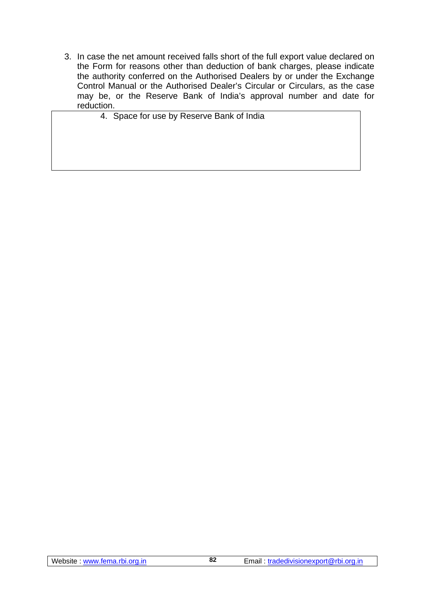3. In case the net amount received falls short of the full export value declared on the Form for reasons other than deduction of bank charges, please indicate the authority conferred on the Authorised Dealers by or under the Exchange Control Manual or the Authorised Dealer's Circular or Circulars, as the case may be, or the Reserve Bank of India's approval number and date for reduction.

4. Space for use by Reserve Bank of India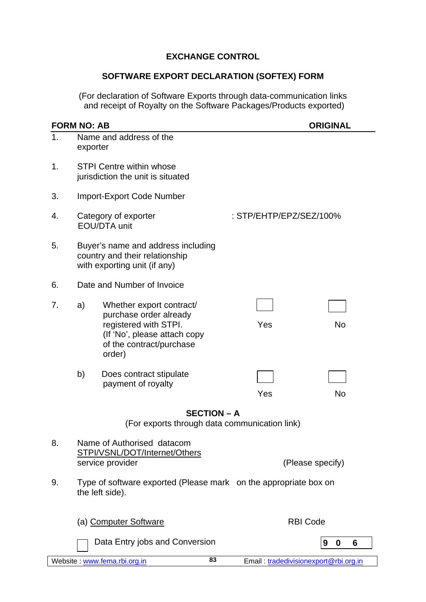# **EXCHANGE CONTROL**

# **SOFTWARE EXPORT DECLARATION (SOFTEX) FORM**

(For declaration of Software Exports through data-communication links and receipt of Royalty on the Software Packages/Products exported)

|    | <b>FORM NO: AB</b>                                                                                                                                      | <b>ORIGINAL</b>                       |
|----|---------------------------------------------------------------------------------------------------------------------------------------------------------|---------------------------------------|
| 1. | Name and address of the<br>exporter                                                                                                                     |                                       |
| 1. | <b>STPI Centre within whose</b><br>jurisdiction the unit is situated                                                                                    |                                       |
| 3. | <b>Import-Export Code Number</b>                                                                                                                        |                                       |
| 4. | Category of exporter<br>EOU/DTA unit                                                                                                                    | : STP/EHTP/EPZ/SEZ/100%               |
| 5. | Buyer's name and address including<br>country and their relationship<br>with exporting unit (if any)                                                    |                                       |
| 6. | Date and Number of Invoice                                                                                                                              |                                       |
| 7. | Whether export contract/<br>a)<br>purchase order already<br>registered with STPI.<br>(If 'No', please attach copy<br>of the contract/purchase<br>order) | Yes<br><b>No</b>                      |
|    | b)<br>Does contract stipulate<br>payment of royalty                                                                                                     | Yes<br>No                             |
|    | <b>SECTION - A</b>                                                                                                                                      |                                       |
|    | (For exports through data communication link)                                                                                                           |                                       |
| 8. | Name of Authorised datacom<br>STPI/VSNL/DOT/Internet/Others<br>service provider                                                                         | (Please specify)                      |
| 9. | Type of software exported (Please mark on the appropriate box on<br>the left side).                                                                     |                                       |
|    | (a) Computer Software                                                                                                                                   | <b>RBI Code</b>                       |
|    | Data Entry jobs and Conversion                                                                                                                          | 9<br>6<br>$\boldsymbol{0}$            |
|    | 83<br>Website: www.fema.rbi.org.in                                                                                                                      | Email: tradedivisionexport@rbi.org.in |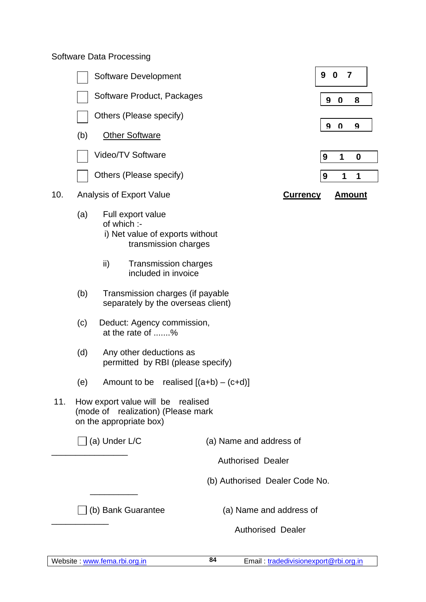# Software Data Processing

|     |     | Software Development                                                                               |                                | 9<br>$\bf{0}$<br>$\overline{7}$  |
|-----|-----|----------------------------------------------------------------------------------------------------|--------------------------------|----------------------------------|
|     |     | Software Product, Packages                                                                         |                                | 9<br>$\Omega$<br>8               |
|     |     | Others (Please specify)                                                                            |                                |                                  |
|     | (b) | <b>Other Software</b>                                                                              |                                | 9<br>$\bf{0}$<br>9               |
|     |     | Video/TV Software                                                                                  |                                | $\mathbf 1$<br>9<br>$\bf{0}$     |
|     |     | Others (Please specify)                                                                            |                                | $\boldsymbol{9}$<br>1<br>1       |
| 10. |     | Analysis of Export Value                                                                           |                                | <b>Currency</b><br><u>Amount</u> |
|     | (a) | Full export value<br>of which :-<br>i) Net value of exports without<br>transmission charges        |                                |                                  |
|     |     | ii)<br><b>Transmission charges</b><br>included in invoice                                          |                                |                                  |
|     | (b) | Transmission charges (if payable<br>separately by the overseas client)                             |                                |                                  |
|     | (c) | Deduct: Agency commission,<br>at the rate of %                                                     |                                |                                  |
|     | (d) | Any other deductions as<br>permitted by RBI (please specify)                                       |                                |                                  |
|     | (e) | Amount to be                                                                                       | realised $[(a+b)-(c+d)]$       |                                  |
| 11. |     | How export value will be realised<br>(mode of realization) (Please mark<br>on the appropriate box) |                                |                                  |
|     |     | $\Box$ (a) Under L/C                                                                               | (a) Name and address of        |                                  |
|     |     |                                                                                                    | <b>Authorised Dealer</b>       |                                  |
|     |     |                                                                                                    | (b) Authorised Dealer Code No. |                                  |
|     |     | ∫(b) Bank Guarantee                                                                                | (a) Name and address of        |                                  |
|     |     |                                                                                                    | <b>Authorised Dealer</b>       |                                  |
|     |     |                                                                                                    |                                |                                  |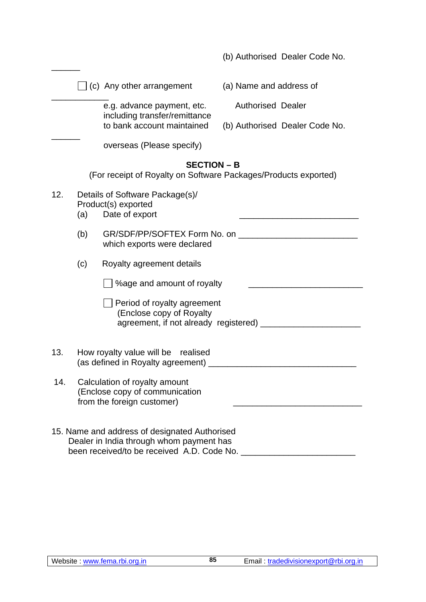|     |     |                                                                                                                                         | (b) Authorised Dealer Code No.                                  |
|-----|-----|-----------------------------------------------------------------------------------------------------------------------------------------|-----------------------------------------------------------------|
|     |     | $\Box$ (c) Any other arrangement                                                                                                        | (a) Name and address of                                         |
|     |     | e.g. advance payment, etc.<br>including transfer/remittance                                                                             | <b>Authorised Dealer</b>                                        |
|     |     | to bank account maintained                                                                                                              | (b) Authorised Dealer Code No.                                  |
|     |     | overseas (Please specify)                                                                                                               |                                                                 |
|     |     | <b>SECTION - B</b>                                                                                                                      | (For receipt of Royalty on Software Packages/Products exported) |
| 12. | (a) | Details of Software Package(s)/<br>Product(s) exported<br>Date of export                                                                |                                                                 |
|     | (b) | which exports were declared                                                                                                             |                                                                 |
|     | (c) | Royalty agreement details                                                                                                               |                                                                 |
|     |     | %age and amount of royalty                                                                                                              |                                                                 |
|     |     | Period of royalty agreement<br>(Enclose copy of Royalty<br>agreement, if not already registered) _____                                  |                                                                 |
| 13. |     | How royalty value will be realised<br>(as defined in Royalty agreement)                                                                 |                                                                 |
| 14. |     | Calculation of royalty amount<br>(Enclose copy of communication<br>from the foreign customer)                                           |                                                                 |
|     |     | 15. Name and address of designated Authorised<br>Dealer in India through whom payment has<br>been received/to be received A.D. Code No. |                                                                 |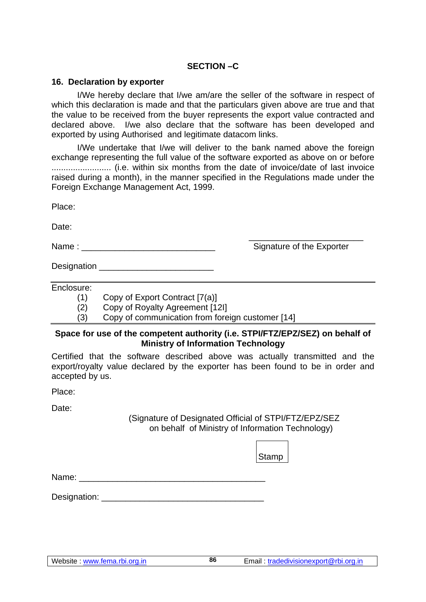## **SECTION –C**

#### **16. Declaration by exporter**

 I/We hereby declare that I/we am/are the seller of the software in respect of which this declaration is made and that the particulars given above are true and that the value to be received from the buyer represents the export value contracted and declared above. I/we also declare that the software has been developed and exported by using Authorised and legitimate datacom links.

 I/We undertake that I/we will deliver to the bank named above the foreign exchange representing the full value of the software exported as above on or before ......................... (i.e. within six months from the date of invoice/date of last invoice raised during a month), in the manner specified in the Regulations made under the Foreign Exchange Management Act, 1999.

 $\frac{1}{\sqrt{2}}$  ,  $\frac{1}{\sqrt{2}}$  ,  $\frac{1}{\sqrt{2}}$  ,  $\frac{1}{\sqrt{2}}$  ,  $\frac{1}{\sqrt{2}}$  ,  $\frac{1}{\sqrt{2}}$  ,  $\frac{1}{\sqrt{2}}$  ,  $\frac{1}{\sqrt{2}}$  ,  $\frac{1}{\sqrt{2}}$  ,  $\frac{1}{\sqrt{2}}$  ,  $\frac{1}{\sqrt{2}}$  ,  $\frac{1}{\sqrt{2}}$  ,  $\frac{1}{\sqrt{2}}$  ,  $\frac{1}{\sqrt{2}}$  ,  $\frac{1}{\sqrt{2}}$ 

Place:

Date:

Name :  $\blacksquare$ 

Designation **Designation** 

Enclosure:

(1) Copy of Export Contract [7(a)]

(2) Copy of Royalty Agreement [12I]

(3) Copy of communication from foreign customer [14]

#### **Space for use of the competent authority (i.e. STPI/FTZ/EPZ/SEZ) on behalf of Ministry of Information Technology**

Certified that the software described above was actually transmitted and the export/royalty value declared by the exporter has been found to be in order and accepted by us.

Place:

Date:

(Signature of Designated Official of STPI/FTZ/EPZ/SEZ on behalf of Ministry of Information Technology)

|       | Stamp |  |
|-------|-------|--|
| Name: |       |  |

Designation: **Example 20**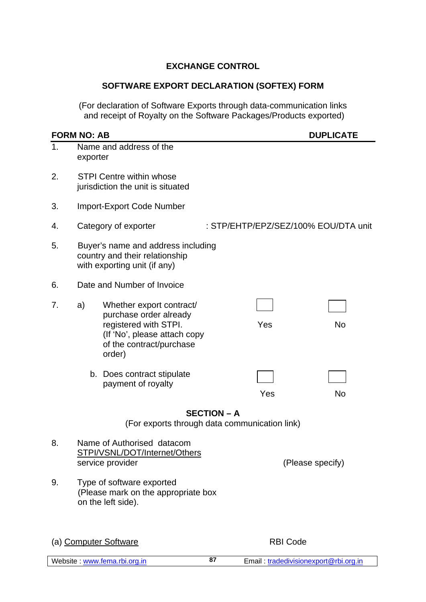## **EXCHANGE CONTROL**

#### **SOFTWARE EXPORT DECLARATION (SOFTEX) FORM**

(For declaration of Software Exports through data-communication links and receipt of Royalty on the Software Packages/Products exported)

# **FORM NO: AB DUPLICATE** 1. Name and address of the exporter 2. STPI Centre within whose jurisdiction the unit is situated 3. Import-Export Code Number 4. Category of exporter : STP/EHTP/EPZ/SEZ/100% EOU/DTA unit 5. Buyer's name and address including country and their relationship with exporting unit (if any) 6. Date and Number of Invoice 7. a) Whether export contract/ purchase order already registered with STPI. The Mondo Yes No (If 'No', please attach copy of the contract/purchase order) b. Does contract stipulate payment of royalty Yes No **SECTION – A**  (For exports through data communication link) 8. Name of Authorised datacom STPI/VSNL/DOT/Internet/Others service provider  $(P \in \text{Re}(P))$ 9. Type of software exported (Please mark on the appropriate box on the left side). (a) Computer Software RBI Code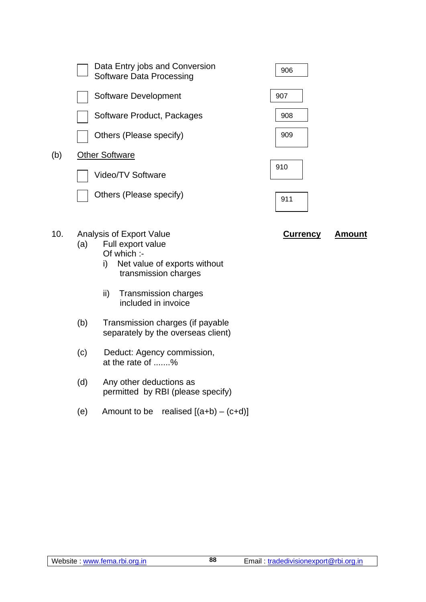| $\sqrt{ }$ | $\Lambda$ is also in a form out $\Lambda$ also a           |     |
|------------|------------------------------------------------------------|-----|
|            | Others (Please specify)                                    | 911 |
|            | Video/TV Software                                          |     |
| (b)        | <b>Other Software</b>                                      | 910 |
|            | Others (Please specify)                                    | 909 |
|            | Software Product, Packages                                 | 908 |
|            | Software Development                                       | 907 |
|            | Data Entry jobs and Conversion<br>Software Data Processing | 906 |
|            |                                                            |     |

- 10. Analysis of Export Value **Currency Amount** 
	- (a) Full export value Of which :
		- i) Net value of exports without transmission charges
		- ii) Transmission charges included in invoice
	- (b) Transmission charges (if payable separately by the overseas client)
	- (c) Deduct: Agency commission, at the rate of .......%
	- (d) Any other deductions as permitted by RBI (please specify)
	- (e) Amount to be realised  $[(a+b)-(c+d)]$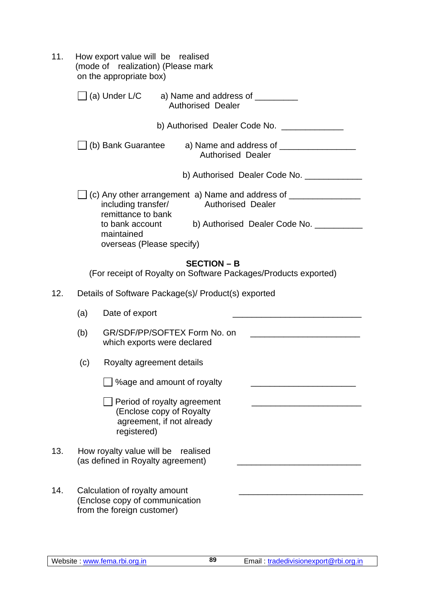| 11.                                                                                                                                              | How export value will be realised<br>(mode of realization) (Please mark<br>on the appropriate box)        |  |  |  |
|--------------------------------------------------------------------------------------------------------------------------------------------------|-----------------------------------------------------------------------------------------------------------|--|--|--|
| $\Box$ (a) Under L/C<br>a) Name and address of $\frac{1}{\sqrt{1-\frac{1}{2}}}\left\lfloor \frac{1}{2}\right\rfloor$<br><b>Authorised Dealer</b> |                                                                                                           |  |  |  |
|                                                                                                                                                  | b) Authorised Dealer Code No.                                                                             |  |  |  |
|                                                                                                                                                  | ∐ (b) Bank Guarantee<br>a) Name and address of $\frac{1}{2}$<br><b>Authorised Dealer</b>                  |  |  |  |
|                                                                                                                                                  | b) Authorised Dealer Code No. ___________                                                                 |  |  |  |
|                                                                                                                                                  | $\rfloor$ (c) Any other arrangement a) Name and address of $\_{$<br>including transfer/ Authorised Dealer |  |  |  |
|                                                                                                                                                  | remittance to bank<br>to bank account<br>b) Authorised Dealer Code No. _______<br>maintained              |  |  |  |
|                                                                                                                                                  | overseas (Please specify)                                                                                 |  |  |  |
|                                                                                                                                                  | <b>SECTION - B</b><br>(For receipt of Royalty on Software Packages/Products exported)                     |  |  |  |
| 12.                                                                                                                                              | Details of Software Package(s)/ Product(s) exported                                                       |  |  |  |
|                                                                                                                                                  | (a)<br>Date of export                                                                                     |  |  |  |
|                                                                                                                                                  | GR/SDF/PP/SOFTEX Form No. on<br>(b)<br>which exports were declared                                        |  |  |  |
|                                                                                                                                                  | (c)<br>Royalty agreement details                                                                          |  |  |  |
|                                                                                                                                                  | %age and amount of royalty                                                                                |  |  |  |
|                                                                                                                                                  | Period of royalty agreement<br>(Enclose copy of Royalty<br>agreement, if not already<br>registered)       |  |  |  |
| 13.                                                                                                                                              | How royalty value will be<br>realised<br>(as defined in Royalty agreement)                                |  |  |  |
| 14.                                                                                                                                              | Calculation of royalty amount<br>(Enclose copy of communication<br>from the foreign customer)             |  |  |  |

**89**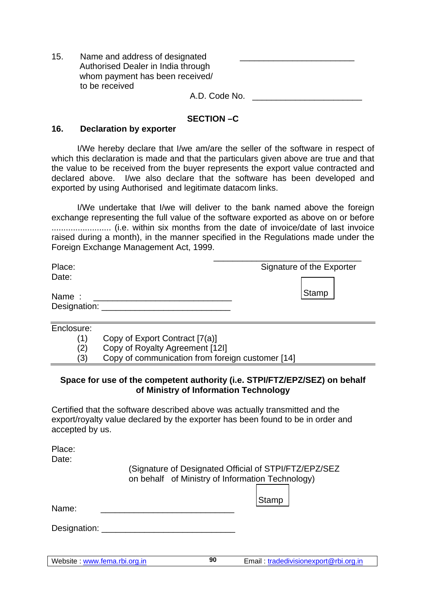| 15. | Name and address of designated<br>Authorised Dealer in India through |
|-----|----------------------------------------------------------------------|
|     | whom payment has been received/                                      |
|     | to be received                                                       |
|     | A.D. Code No.                                                        |

#### **SECTION –C**

#### **16. Declaration by exporter**

 I/We hereby declare that I/we am/are the seller of the software in respect of which this declaration is made and that the particulars given above are true and that the value to be received from the buyer represents the export value contracted and declared above. I/we also declare that the software has been developed and exported by using Authorised and legitimate datacom links.

 I/We undertake that I/we will deliver to the bank named above the foreign exchange representing the full value of the software exported as above on or before ......................... (i.e. within six months from the date of invoice/date of last invoice raised during a month), in the manner specified in the Regulations made under the Foreign Exchange Management Act, 1999.

| Place:<br>Date:  | Signature of the Exporter |  |  |
|------------------|---------------------------|--|--|
| Name:            | Stamp                     |  |  |
| Designation: ___ |                           |  |  |

| Enclosure: |  |
|------------|--|
| $\cdots$   |  |

(1) Copy of Export Contract [7(a)]

(2) Copy of Royalty Agreement [12I]

(3) Copy of communication from foreign customer [14]

#### **Space for use of the competent authority (i.e. STPI/FTZ/EPZ/SEZ) on behalf of Ministry of Information Technology**

**90**

Certified that the software described above was actually transmitted and the export/royalty value declared by the exporter has been found to be in order and accepted by us.

Place: Date:

> (Signature of Designated Official of STPI/FTZ/EPZ/SEZ on behalf of Ministry of Information Technology)

> > Stamp

Name:

Designation: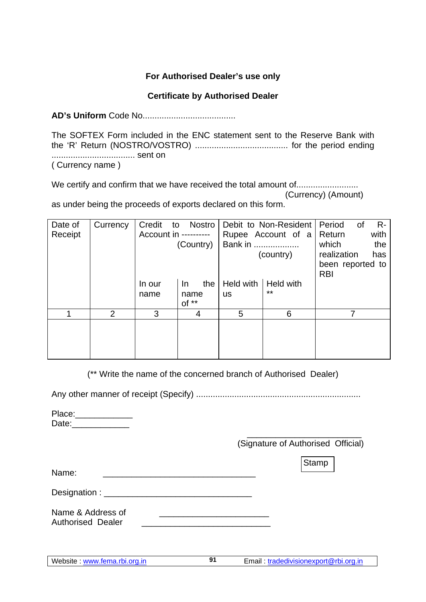## **For Authorised Dealer's use only**

#### **Certificate by Authorised Dealer**

**AD's Uniform** Code No.......................................

The SOFTEX Form included in the ENC statement sent to the Reserve Bank with the 'R' Return (NOSTRO/VOSTRO) ....................................... for the period ending ................................... sent on ( Currency name )

We certify and confirm that we have received the total amount of.......................... (Currency) (Amount)

as under being the proceeds of exports declared on this form.

| Date of | Currency       | Credit<br>to          | Nostro     |           | Debit to Non-Resident | Period           | 0f | $R -$ |
|---------|----------------|-----------------------|------------|-----------|-----------------------|------------------|----|-------|
| Receipt |                | Account in ---------- |            |           | Rupee Account of a    | Return           |    | with  |
|         |                |                       | (Country)  | Bank in   |                       | which            |    | the   |
|         |                |                       |            |           | (country)             | realization      |    | has   |
|         |                |                       |            |           |                       | been reported to |    |       |
|         |                |                       |            |           |                       | <b>RBI</b>       |    |       |
|         |                | In our                | the<br>In. | Held with | <b>Held with</b>      |                  |    |       |
|         |                | name                  | name       | <b>US</b> | $***$                 |                  |    |       |
|         |                |                       | $of **$    |           |                       |                  |    |       |
| 1       | $\overline{2}$ | 3                     | 4          | 5         | 6                     |                  | 7  |       |
|         |                |                       |            |           |                       |                  |    |       |
|         |                |                       |            |           |                       |                  |    |       |
|         |                |                       |            |           |                       |                  |    |       |
|         |                |                       |            |           |                       |                  |    |       |

(\*\* Write the name of the concerned branch of Authorised Dealer)

**91**

Any other manner of receipt (Specify) .....................................................................

Place:\_\_\_\_\_\_\_\_\_\_\_\_ Date:\_\_\_\_\_\_\_\_\_\_\_\_

 $\frac{1}{2}$  , and the contract of the contract of the contract of the contract of the contract of the contract of the contract of the contract of the contract of the contract of the contract of the contract of the contract (Signature of Authorised Official)

Stamp

Name:

Designation : \_\_\_\_\_\_\_\_\_\_\_\_\_\_\_\_\_\_\_\_\_\_\_\_\_\_\_\_\_\_\_

Name & Address of Authorised Dealer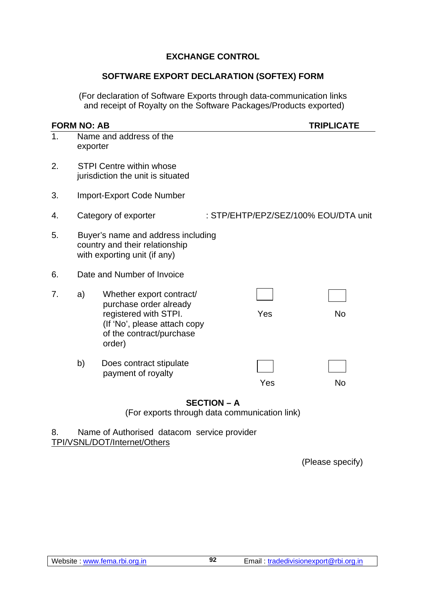## **EXCHANGE CONTROL**

#### **SOFTWARE EXPORT DECLARATION (SOFTEX) FORM**

(For declaration of Software Exports through data-communication links and receipt of Royalty on the Software Packages/Products exported)

|    | <b>FORM NO: AB</b>                                                                                   |                                                                                                                                                   |                                      | <b>TRIPLICATE</b> |  |  |
|----|------------------------------------------------------------------------------------------------------|---------------------------------------------------------------------------------------------------------------------------------------------------|--------------------------------------|-------------------|--|--|
| 1. | exporter                                                                                             | Name and address of the                                                                                                                           |                                      |                   |  |  |
| 2. | <b>STPI Centre within whose</b><br>jurisdiction the unit is situated                                 |                                                                                                                                                   |                                      |                   |  |  |
| 3. |                                                                                                      | <b>Import-Export Code Number</b>                                                                                                                  |                                      |                   |  |  |
| 4. |                                                                                                      | Category of exporter                                                                                                                              | : STP/EHTP/EPZ/SEZ/100% EOU/DTA unit |                   |  |  |
| 5. | Buyer's name and address including<br>country and their relationship<br>with exporting unit (if any) |                                                                                                                                                   |                                      |                   |  |  |
| 6. |                                                                                                      | Date and Number of Invoice                                                                                                                        |                                      |                   |  |  |
| 7. | a)                                                                                                   | Whether export contract/<br>purchase order already<br>registered with STPI.<br>(If 'No', please attach copy<br>of the contract/purchase<br>order) | Yes                                  | <b>No</b>         |  |  |
|    | b)                                                                                                   | Does contract stipulate<br>payment of royalty                                                                                                     | Yes                                  | No                |  |  |

#### **SECTION – A**

(For exports through data communication link)

8. Name of Authorised datacom service provider TPI/VSNL/DOT/Internet/Others

(Please specify)

**92**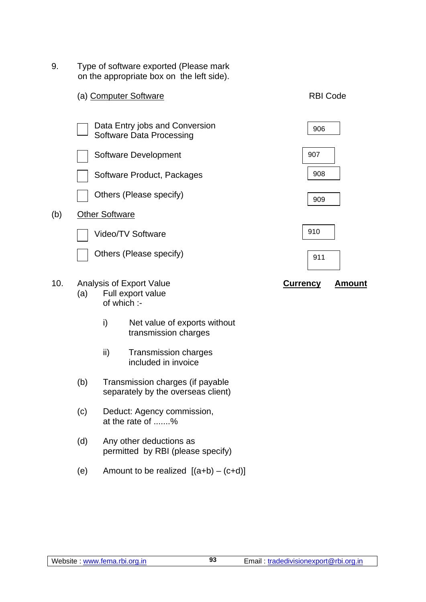9. Type of software exported (Please mark on the appropriate box on the left side).



- (c) Deduct: Agency commission, at the rate of .......%
- (d) Any other deductions as permitted by RBI (please specify)
- (e) Amount to be realized  $[(a+b) (c+d)]$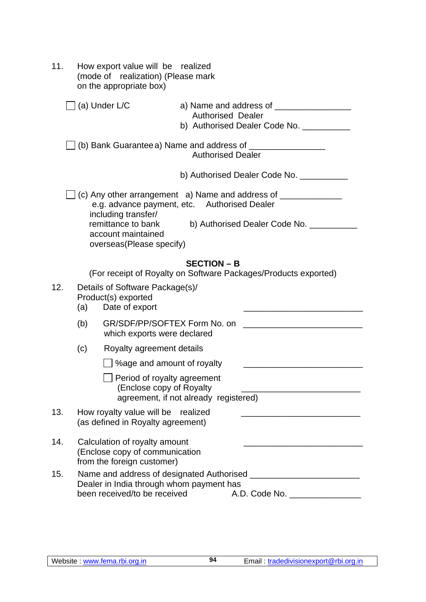| 11. | How export value will be realized<br>(mode of realization) (Please mark<br>on the appropriate box)                                                                                                                                                                                                                                                                                                                   |
|-----|----------------------------------------------------------------------------------------------------------------------------------------------------------------------------------------------------------------------------------------------------------------------------------------------------------------------------------------------------------------------------------------------------------------------|
|     | ∫ (a) Under L/C<br><b>Authorised Dealer</b><br>b) Authorised Dealer Code No. __________                                                                                                                                                                                                                                                                                                                              |
|     | $\Box$ (b) Bank Guarantee a) Name and address of $\_\_$<br><b>Authorised Dealer</b>                                                                                                                                                                                                                                                                                                                                  |
|     | b) Authorised Dealer Code No. __________<br>e.g. advance payment, etc. Authorised Dealer<br>including transfer/<br>remittance to bank<br>b) Authorised Dealer Code No. ________<br>account maintained<br>overseas (Please specify)                                                                                                                                                                                   |
| 12. | <b>SECTION - B</b><br>(For receipt of Royalty on Software Packages/Products exported)<br>Details of Software Package(s)/<br>Product(s) exported<br>Date of export<br>(a)<br>GR/SDF/PP/SOFTEX Form No. on<br>(b)<br>which exports were declared<br>(c)<br>Royalty agreement details<br>%age and amount of royalty<br>Period of royalty agreement<br>(Enclose copy of Royalty<br>agreement, if not already registered) |
| 13. | How royalty value will be realized<br>(as defined in Royalty agreement)                                                                                                                                                                                                                                                                                                                                              |
| 14. | Calculation of royalty amount<br>(Enclose copy of communication<br>from the foreign customer)                                                                                                                                                                                                                                                                                                                        |
| 15. | Dealer in India through whom payment has<br>been received/to be received<br>A.D. Code No.                                                                                                                                                                                                                                                                                                                            |